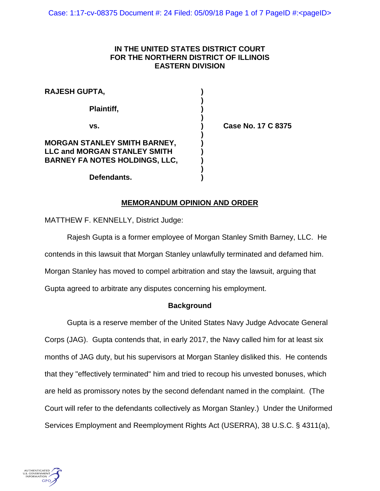## **IN THE UNITED STATES DISTRICT COURT FOR THE NORTHERN DISTRICT OF ILLINOIS EASTERN DIVISION**

| <b>RAJESH GUPTA,</b>                                                                                         |  |
|--------------------------------------------------------------------------------------------------------------|--|
| Plaintiff,                                                                                                   |  |
| VS.                                                                                                          |  |
| MORGAN STANLEY SMITH BARNEY,<br><b>LLC and MORGAN STANLEY SMITH</b><br><b>BARNEY FA NOTES HOLDINGS, LLC,</b> |  |

**vs. ) Case No. 17 C 8375**

**Defendants. )**

# **MEMORANDUM OPINION AND ORDER**

MATTHEW F. KENNELLY, District Judge:

Rajesh Gupta is a former employee of Morgan Stanley Smith Barney, LLC. He contends in this lawsuit that Morgan Stanley unlawfully terminated and defamed him. Morgan Stanley has moved to compel arbitration and stay the lawsuit, arguing that Gupta agreed to arbitrate any disputes concerning his employment.

## **Background**

Gupta is a reserve member of the United States Navy Judge Advocate General Corps (JAG). Gupta contends that, in early 2017, the Navy called him for at least six months of JAG duty, but his supervisors at Morgan Stanley disliked this. He contends that they "effectively terminated" him and tried to recoup his unvested bonuses, which are held as promissory notes by the second defendant named in the complaint. (The Court will refer to the defendants collectively as Morgan Stanley.) Under the Uniformed Services Employment and Reemployment Rights Act (USERRA), 38 U.S.C. § 4311(a),

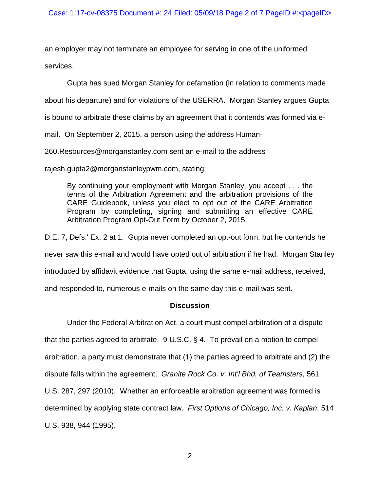an employer may not terminate an employee for serving in one of the uniformed services.

Gupta has sued Morgan Stanley for defamation (in relation to comments made

about his departure) and for violations of the USERRA. Morgan Stanley argues Gupta

is bound to arbitrate these claims by an agreement that it contends was formed via e-

mail. On September 2, 2015, a person using the address Human-

260.Resources@morganstanley.com sent an e-mail to the address

rajesh.gupta2@morganstanleypwm.com, stating:

By continuing your employment with Morgan Stanley, you accept . . . the terms of the Arbitration Agreement and the arbitration provisions of the CARE Guidebook, unless you elect to opt out of the CARE Arbitration Program by completing, signing and submitting an effective CARE Arbitration Program Opt-Out Form by October 2, 2015.

D.E. 7, Defs.' Ex. 2 at 1. Gupta never completed an opt-out form, but he contends he never saw this e-mail and would have opted out of arbitration if he had. Morgan Stanley introduced by affidavit evidence that Gupta, using the same e-mail address, received, and responded to, numerous e-mails on the same day this e-mail was sent.

# **Discussion**

Under the Federal Arbitration Act, a court must compel arbitration of a dispute that the parties agreed to arbitrate. 9 U.S.C. § 4. To prevail on a motion to compel arbitration, a party must demonstrate that (1) the parties agreed to arbitrate and (2) the dispute falls within the agreement. *Granite Rock Co. v. Int'l Bhd. of Teamsters*, 561 U.S. 287, 297 (2010). Whether an enforceable arbitration agreement was formed is determined by applying state contract law. *First Options of Chicago, Inc. v. Kaplan*, 514 U.S. 938, 944 (1995).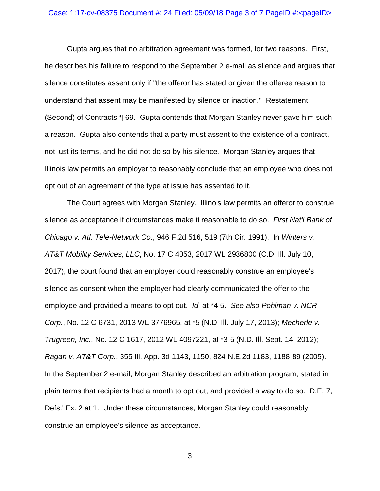#### Case: 1:17-cv-08375 Document  $\#$ : 24 Filed: 05/09/18 Page 3 of 7 PageID  $\#$ : < pageID >

Gupta argues that no arbitration agreement was formed, for two reasons. First, he describes his failure to respond to the September 2 e-mail as silence and argues that silence constitutes assent only if "the offeror has stated or given the offeree reason to understand that assent may be manifested by silence or inaction." Restatement (Second) of Contracts ¶ 69. Gupta contends that Morgan Stanley never gave him such a reason. Gupta also contends that a party must assent to the existence of a contract, not just its terms, and he did not do so by his silence. Morgan Stanley argues that Illinois law permits an employer to reasonably conclude that an employee who does not opt out of an agreement of the type at issue has assented to it.

The Court agrees with Morgan Stanley. Illinois law permits an offeror to construe silence as acceptance if circumstances make it reasonable to do so. *First Nat'l Bank of Chicago v. Atl. Tele-Network Co.*, 946 F.2d 516, 519 (7th Cir. 1991). In *Winters v. AT&T Mobility Services, LLC*, No. 17 C 4053, 2017 WL 2936800 (C.D. Ill. July 10, 2017), the court found that an employer could reasonably construe an employee's silence as consent when the employer had clearly communicated the offer to the employee and provided a means to opt out. *Id.* at \*4-5. *See also Pohlman v. NCR Corp.*, No. 12 C 6731, 2013 WL 3776965, at \*5 (N.D. Ill. July 17, 2013); *Mecherle v. Trugreen, Inc.*, No. 12 C 1617, 2012 WL 4097221, at \*3-5 (N.D. Ill. Sept. 14, 2012); *Ragan v. AT&T Corp.*, 355 Ill. App. 3d 1143, 1150, 824 N.E.2d 1183, 1188-89 (2005). In the September 2 e-mail, Morgan Stanley described an arbitration program, stated in plain terms that recipients had a month to opt out, and provided a way to do so. D.E. 7, Defs.' Ex. 2 at 1. Under these circumstances, Morgan Stanley could reasonably construe an employee's silence as acceptance.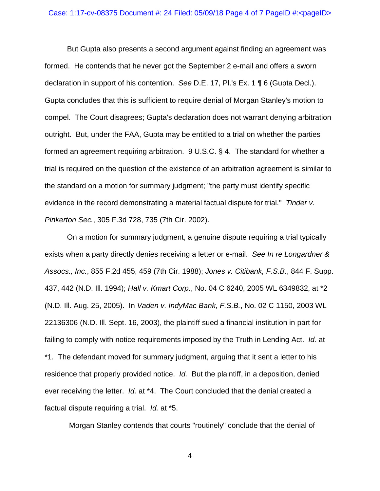But Gupta also presents a second argument against finding an agreement was formed. He contends that he never got the September 2 e-mail and offers a sworn declaration in support of his contention. *See* D.E. 17, Pl.'s Ex. 1 ¶ 6 (Gupta Decl.). Gupta concludes that this is sufficient to require denial of Morgan Stanley's motion to compel. The Court disagrees; Gupta's declaration does not warrant denying arbitration outright. But, under the FAA, Gupta may be entitled to a trial on whether the parties formed an agreement requiring arbitration. 9 U.S.C. § 4. The standard for whether a trial is required on the question of the existence of an arbitration agreement is similar to the standard on a motion for summary judgment; "the party must identify specific evidence in the record demonstrating a material factual dispute for trial." *Tinder v. Pinkerton Sec.*, 305 F.3d 728, 735 (7th Cir. 2002).

On a motion for summary judgment, a genuine dispute requiring a trial typically exists when a party directly denies receiving a letter or e-mail. *See In re Longardner & Assocs., Inc.*, 855 F.2d 455, 459 (7th Cir. 1988); *Jones v. Citibank, F.S.B.*, 844 F. Supp. 437, 442 (N.D. Ill. 1994); *Hall v. Kmart Corp.*, No. 04 C 6240, 2005 WL 6349832, at \*2 (N.D. Ill. Aug. 25, 2005). In *Vaden v. IndyMac Bank, F.S.B.*, No. 02 C 1150, 2003 WL 22136306 (N.D. Ill. Sept. 16, 2003), the plaintiff sued a financial institution in part for failing to comply with notice requirements imposed by the Truth in Lending Act. *Id.* at \*1. The defendant moved for summary judgment, arguing that it sent a letter to his residence that properly provided notice. *Id.* But the plaintiff, in a deposition, denied ever receiving the letter. *Id.* at \*4. The Court concluded that the denial created a factual dispute requiring a trial. *Id.* at \*5.

Morgan Stanley contends that courts "routinely" conclude that the denial of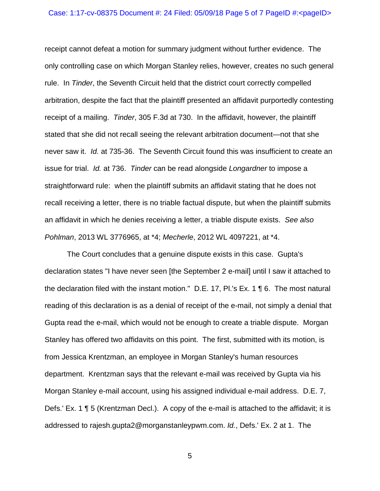#### Case: 1:17-cv-08375 Document  $\#$ : 24 Filed: 05/09/18 Page 5 of 7 PageID  $\#$ : < pageID >

receipt cannot defeat a motion for summary judgment without further evidence. The only controlling case on which Morgan Stanley relies, however, creates no such general rule. In *Tinder*, the Seventh Circuit held that the district court correctly compelled arbitration, despite the fact that the plaintiff presented an affidavit purportedly contesting receipt of a mailing. *Tinder*, 305 F.3d at 730. In the affidavit, however, the plaintiff stated that she did not recall seeing the relevant arbitration document—not that she never saw it. *Id.* at 735-36. The Seventh Circuit found this was insufficient to create an issue for trial. *Id.* at 736. *Tinder* can be read alongside *Longardner* to impose a straightforward rule: when the plaintiff submits an affidavit stating that he does not recall receiving a letter, there is no triable factual dispute, but when the plaintiff submits an affidavit in which he denies receiving a letter, a triable dispute exists. *See also Pohlman*, 2013 WL 3776965, at \*4; *Mecherle*, 2012 WL 4097221, at \*4.

The Court concludes that a genuine dispute exists in this case. Gupta's declaration states "I have never seen [the September 2 e-mail] until I saw it attached to the declaration filed with the instant motion." D.E. 17, Pl.'s Ex. 1 ¶ 6. The most natural reading of this declaration is as a denial of receipt of the e-mail, not simply a denial that Gupta read the e-mail, which would not be enough to create a triable dispute. Morgan Stanley has offered two affidavits on this point. The first, submitted with its motion, is from Jessica Krentzman, an employee in Morgan Stanley's human resources department. Krentzman says that the relevant e-mail was received by Gupta via his Morgan Stanley e-mail account, using his assigned individual e-mail address. D.E. 7, Defs.' Ex. 1 ¶ 5 (Krentzman Decl.). A copy of the e-mail is attached to the affidavit; it is addressed to rajesh.gupta2@morganstanleypwm.com. *Id.*, Defs.' Ex. 2 at 1. The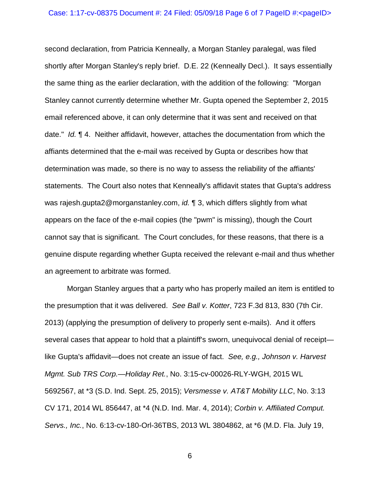#### Case: 1:17-cv-08375 Document  $\#$ : 24 Filed: 05/09/18 Page 6 of 7 PageID  $\#$ : < pageID >

second declaration, from Patricia Kenneally, a Morgan Stanley paralegal, was filed shortly after Morgan Stanley's reply brief. D.E. 22 (Kenneally Decl.). It says essentially the same thing as the earlier declaration, with the addition of the following: "Morgan Stanley cannot currently determine whether Mr. Gupta opened the September 2, 2015 email referenced above, it can only determine that it was sent and received on that date." *Id.* ¶ 4. Neither affidavit, however, attaches the documentation from which the affiants determined that the e-mail was received by Gupta or describes how that determination was made, so there is no way to assess the reliability of the affiants' statements. The Court also notes that Kenneally's affidavit states that Gupta's address was rajesh.gupta2@morganstanley.com, *id.* ¶ 3, which differs slightly from what appears on the face of the e-mail copies (the "pwm" is missing), though the Court cannot say that is significant. The Court concludes, for these reasons, that there is a genuine dispute regarding whether Gupta received the relevant e-mail and thus whether an agreement to arbitrate was formed.

Morgan Stanley argues that a party who has properly mailed an item is entitled to the presumption that it was delivered. *See Ball v. Kotter*, 723 F.3d 813, 830 (7th Cir. 2013) (applying the presumption of delivery to properly sent e-mails). And it offers several cases that appear to hold that a plaintiff's sworn, unequivocal denial of receipt like Gupta's affidavit—does not create an issue of fact. *See, e.g., Johnson v. Harvest Mgmt. Sub TRS Corp.—Holiday Ret.*, No. 3:15-cv-00026-RLY-WGH, 2015 WL 5692567, at \*3 (S.D. Ind. Sept. 25, 2015); *Versmesse v. AT&T Mobility LLC*, No. 3:13 CV 171, 2014 WL 856447, at \*4 (N.D. Ind. Mar. 4, 2014); *Corbin v. Affiliated Comput. Servs., Inc.*, No. 6:13-cv-180-Orl-36TBS, 2013 WL 3804862, at \*6 (M.D. Fla. July 19,